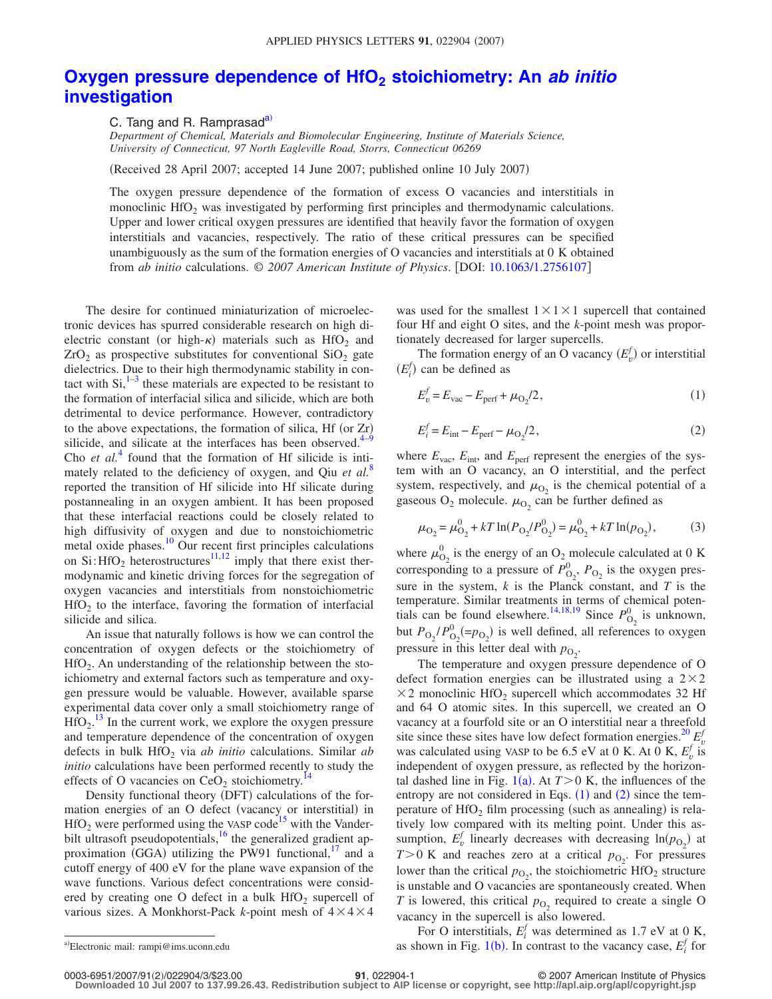## **Oxygen pressure dependence of HfO<sub>2</sub> stoichiometry: An** *ab initio* **[investigation](http://dx.doi.org/10.1063/1.2756107)**

C. Tang and R. Ramprasad<sup>a)</sup>

*Department of Chemical, Materials and Biomolecular Engineering, Institute of Materials Science, University of Connecticut, 97 North Eagleville Road, Storrs, Connecticut 06269*

Received 28 April 2007; accepted 14 June 2007; published online 10 July 2007-

The oxygen pressure dependence of the formation of excess O vacancies and interstitials in monoclinic HfO<sub>2</sub> was investigated by performing first principles and thermodynamic calculations. Upper and lower critical oxygen pressures are identified that heavily favor the formation of oxygen interstitials and vacancies, respectively. The ratio of these critical pressures can be specified unambiguously as the sum of the formation energies of O vacancies and interstitials at 0 K obtained from *ab initio* calculations. © *2007 American Institute of Physics*. DOI: [10.1063/1.2756107](http://dx.doi.org/10.1063/1.2756107)

The desire for continued miniaturization of microelectronic devices has spurred considerable research on high dielectric constant (or high- $\kappa$ ) materials such as HfO<sub>2</sub> and  $ZrO<sub>2</sub>$  as prospective substitutes for conventional  $SiO<sub>2</sub>$  gate dielectrics. Due to their high thermodynamic stability in contact with  $Si<sub>1</sub><sup>1–3</sup>$  $Si<sub>1</sub><sup>1–3</sup>$  $Si<sub>1</sub><sup>1–3</sup>$  these materials are expected to be resistant to the formation of interfacial silica and silicide, which are both detrimental to device performance. However, contradictory to the above expectations, the formation of silica, Hf (or  $Zr$ ) silicide, and silicate at the interfaces has been observed.<sup>4[–9](#page-2-3)</sup> Cho *et al.*<sup>[4](#page-2-2)</sup> found that the formation of Hf silicide is intimately related to the deficiency of oxygen, and Qiu *et al.*[8](#page-2-4) reported the transition of Hf silicide into Hf silicate during postannealing in an oxygen ambient. It has been proposed that these interfacial reactions could be closely related to high diffusivity of oxygen and due to nonstoichiometric metal oxide phases.<sup>10</sup> Our recent first principles calculations on Si: HfO<sub>2</sub> heterostructures<sup>11,[12](#page-2-7)</sup> imply that there exist thermodynamic and kinetic driving forces for the segregation of oxygen vacancies and interstitials from nonstoichiometric  $HfO<sub>2</sub>$  to the interface, favoring the formation of interfacial silicide and silica.

An issue that naturally follows is how we can control the concentration of oxygen defects or the stoichiometry of HfO<sub>2</sub>. An understanding of the relationship between the stoichiometry and external factors such as temperature and oxygen pressure would be valuable. However, available sparse experimental data cover only a small stoichiometry range of  $HfO<sub>2</sub>$ .<sup>[13](#page-2-8)</sup> In the current work, we explore the oxygen pressure and temperature dependence of the concentration of oxygen defects in bulk HfO<sub>2</sub> via *ab initio* calculations. Similar *ab initio* calculations have been performed recently to study the effects of O vacancies on  $CeO<sub>2</sub>$  stoichiometry.<sup>14</sup>

Density functional theory (DFT) calculations of the formation energies of an O defect (vacancy or interstitial) in  $HfO<sub>2</sub>$  were performed using the VASP code<sup>15</sup> with the Vanderbilt ultrasoft pseudopotentials, $^{16}$  the generalized gradient approximation (GGA) utilizing the PW91 functional,<sup>17</sup> and a cutoff energy of 400 eV for the plane wave expansion of the wave functions. Various defect concentrations were considered by creating one O defect in a bulk  $HfO<sub>2</sub>$  supercell of various sizes. A Monkhorst-Pack k-point mesh of  $4 \times 4 \times 4$ 

was used for the smallest  $1 \times 1 \times 1$  supercell that contained four Hf and eight O sites, and the *k*-point mesh was proportionately decreased for larger supercells.

<span id="page-0-1"></span>The formation energy of an O vacancy  $(E_v^f)$  or interstitial  $(E_i^f)$  can be defined as

<span id="page-0-2"></span>
$$
E_v^f = E_{\text{vac}} - E_{\text{perf}} + \mu_{\text{O}_2}/2,\tag{1}
$$

$$
E_i^f = E_{\text{int}} - E_{\text{perf}} - \mu_{\text{O}_2}/2,\tag{2}
$$

<span id="page-0-3"></span>where  $E_{\text{vac}}$ ,  $E_{\text{int}}$ , and  $E_{\text{perf}}$  represent the energies of the system with an O vacancy, an O interstitial, and the perfect system, respectively, and  $\mu_{\text{O}_2}$  is the chemical potential of a gaseous  $O_2$  molecule.  $\mu_{O_2}$  can be further defined as

$$
\mu_{\text{O}_2} = \mu_{\text{O}_2}^0 + kT \ln(P_{\text{O}_2}/P_{\text{O}_2}^0) = \mu_{\text{O}_2}^0 + kT \ln(p_{\text{O}_2}),\tag{3}
$$

where  $\mu_{\text{O}_2}^0$  is the energy of an  $\text{O}_2$  molecule calculated at 0 K corresponding to a pressure of  $P_{\text{O}_2}^0$ ,  $P_{\text{O}_2}$  is the oxygen pressure in the system, *k* is the Planck constant, and *T* is the temperature. Similar treatments in terms of chemical poten-tials can be found elsewhere.<sup>14,[18,](#page-2-13)[19](#page-2-14)</sup> Since  $P_{\text{O}_2}^0$  is unknown, but  $P_{\text{O}_2}/P_{\text{O}_2}^0$  (= $p_{\text{O}_2}$ ) is well defined, all references to oxygen pressure in this letter deal with  $p_{O_2}$ .

The temperature and oxygen pressure dependence of O defect formation energies can be illustrated using a  $2 \times 2$  $\times$  2 monoclinic HfO<sub>2</sub> supercell which accommodates 32 Hf and 64 O atomic sites. In this supercell, we created an O vacancy at a fourfold site or an O interstitial near a threefold site since these sites have low defect formation energies.<sup>20</sup>  $E_v^f$ was calculated using VASP to be 6.5 eV at 0 K. At 0 K,  $E_v^f$  is independent of oxygen pressure, as reflected by the horizontal dashed line in Fig.  $1(a)$  $1(a)$ . At  $T>0$  K, the influences of the entropy are not considered in Eqs.  $(1)$  $(1)$  $(1)$  and  $(2)$  $(2)$  $(2)$  since the temperature of  $HfO<sub>2</sub>$  film processing (such as annealing) is relatively low compared with its melting point. Under this assumption,  $E_v^f$  linearly decreases with decreasing  $ln(p_{O_2})$  at  $T>0$  K and reaches zero at a critical  $p_{O_2}$ . For pressures lower than the critical  $p_{\text{O}_2}$ , the stoichiometric HfO<sub>2</sub> structure is unstable and O vacancies are spontaneously created. When *T* is lowered, this critical  $p_{\text{O}_2}$  required to create a single O vacancy in the supercell is also lowered.

<span id="page-0-0"></span>For O interstitials,  $E_i^f$  was determined as 1.7 eV at 0 K, as shown in Fig. [1](#page-1-0)(b). In contrast to the vacancy case,  $E_i^f$  for

0003-6951/2007/91(2)/022904/3/\$23.00

Electronic mail: rampi@ims.uconn.edu

**<sup>21</sup>**, 022904-1 © 2007 American Institute of Physics

**Downloaded 10 Jul 2007 to 137.99.26.43. Redistribution subject to AIP license or copyright, see http://apl.aip.org/apl/copyright.jsp**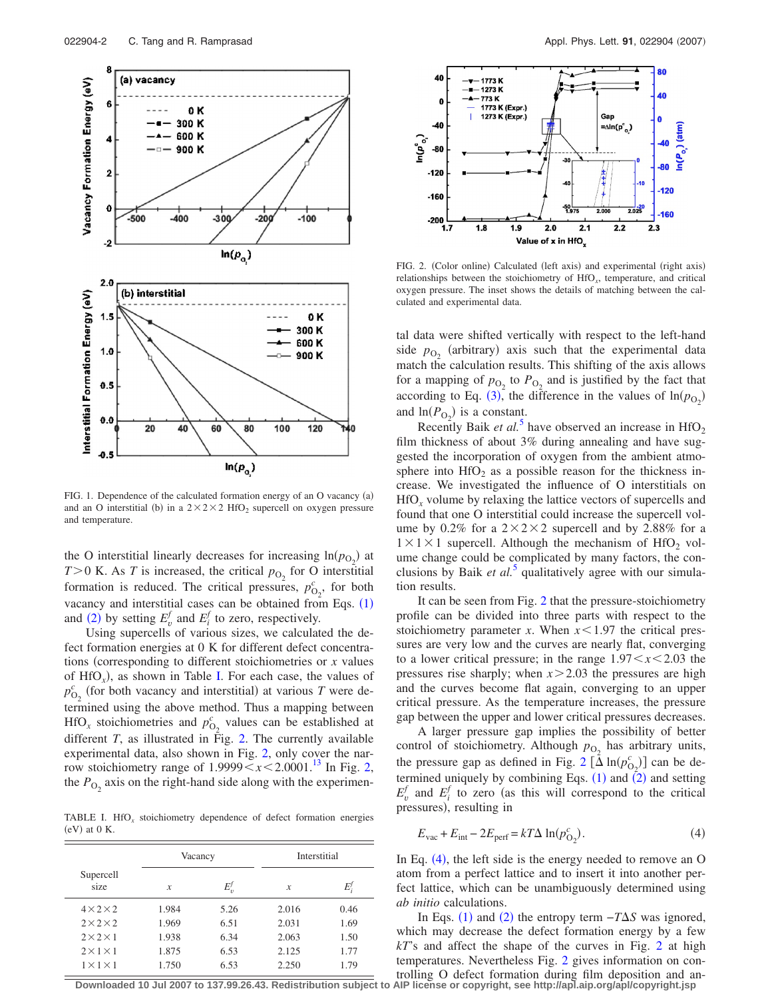<span id="page-1-0"></span>

FIG. 1. Dependence of the calculated formation energy of an O vacancy (a) and an O interstitial (b) in a  $2 \times 2 \times 2$  HfO<sub>2</sub> supercell on oxygen pressure and temperature.

the O interstitial linearly decreases for increasing  $\ln(p_{O_2})$  at  $T>0$  K. As *T* is increased, the critical  $p_{O_2}$  for O interstitial formation is reduced. The critical pressures,  $p_{O_2}^c$ , for both vacancy and interstitial cases can be obtained from Eqs.  $(1)$  $(1)$  $(1)$ and ([2](#page-0-2)) by setting  $E^f_v$  and  $E^f_i$  to zero, respectively.

Using supercells of various sizes, we calculated the defect formation energies at 0 K for different defect concentrations (corresponding to different stoichiometries or *x* values of  $HfO_x$ ), as shown in Table [I.](#page-1-1) For each case, the values of  $p_{O_2}^c$  (for both vacancy and interstitial) at various *T* were determined using the above method. Thus a mapping between  $HfO_x$  stoichiometries and  $p_{O_2}^c$  values can be established at different *T*, as illustrated in Fig. [2.](#page-1-2) The currently available experimental data, also shown in Fig. [2,](#page-1-2) only cover the narrow stoichiometry range of  $1.9999 \leq x \leq 2.0001$ .<sup>13</sup> In Fig. [2,](#page-1-2) the  $P_{\text{O}_2}$  axis on the right-hand side along with the experimen-

<span id="page-1-1"></span>TABLE I. HfO*<sup>x</sup>* stoichiometry dependence of defect formation energies  $(eV)$  at 0 K.

|                       | Vacancy |         | Interstitial  |      |
|-----------------------|---------|---------|---------------|------|
| Supercell<br>size     | x       | $E_n^f$ | $\mathcal{X}$ | E!   |
| $4 \times 2 \times 2$ | 1.984   | 5.26    | 2.016         | 0.46 |
| $2\times2\times2$     | 1.969   | 6.51    | 2.031         | 1.69 |
| $2\times2\times1$     | 1.938   | 6.34    | 2.063         | 1.50 |
| $2 \times 1 \times 1$ | 1.875   | 6.53    | 2.125         | 1.77 |
| $1 \times 1 \times 1$ | 1.750   | 6.53    | 2.250         | 1.79 |

<span id="page-1-2"></span>

FIG. 2. (Color online) Calculated (left axis) and experimental (right axis) relationships between the stoichiometry of HfO*x*, temperature, and critical oxygen pressure. The inset shows the details of matching between the calculated and experimental data.

tal data were shifted vertically with respect to the left-hand side  $p_{O_2}$  (arbitrary) axis such that the experimental data match the calculation results. This shifting of the axis allows for a mapping of  $p_{\text{O}_2}$  to  $P_{\text{O}_2}$  and is justified by the fact that according to Eq. ([3](#page-0-3)), the difference in the values of  $\ln(p_{O_2})$ and  $\ln(P_{\text{O}_2})$  is a constant.

Recently Baik *et al.*<sup>[5](#page-2-16)</sup> have observed an increase in  $HfO<sub>2</sub>$ film thickness of about 3% during annealing and have suggested the incorporation of oxygen from the ambient atmosphere into  $HfO<sub>2</sub>$  as a possible reason for the thickness increase. We investigated the influence of O interstitials on HfO*<sup>x</sup>* volume by relaxing the lattice vectors of supercells and found that one O interstitial could increase the supercell volume by 0.2% for a  $2 \times 2 \times 2$  supercell and by 2.88% for a  $1 \times 1 \times 1$  supercell. Although the mechanism of HfO<sub>2</sub> volume change could be complicated by many factors, the conclusions by Baik *et al.*<sup>[5](#page-2-16)</sup> qualitatively agree with our simulation results.

It can be seen from Fig. [2](#page-1-2) that the pressure-stoichiometry profile can be divided into three parts with respect to the stoichiometry parameter *x*. When  $x < 1.97$  the critical pressures are very low and the curves are nearly flat, converging to a lower critical pressure; in the range  $1.97 < x < 2.03$  the pressures rise sharply; when  $x > 2.03$  the pressures are high and the curves become flat again, converging to an upper critical pressure. As the temperature increases, the pressure gap between the upper and lower critical pressures decreases.

A larger pressure gap implies the possibility of better control of stoichiometry. Although  $p_{\text{O}_2}$  has arbitrary units, the pressure gap as defined in Fig. [2](#page-1-2)  $\left[ \Delta \ln(p_{0_2}^c) \right]$  can be determined uniquely by combining Eqs.  $(1)$  $(1)$  $(1)$  and  $(2)$  $(2)$  $(2)$  and setting  $E_v^f$  and  $E_i^f$  to zero (as this will correspond to the critical pressures), resulting in

<span id="page-1-3"></span>
$$
E_{\text{vac}} + E_{\text{int}} - 2E_{\text{perf}} = kT\Delta \ln(p_{\text{O}_2}^c). \tag{4}
$$

In Eq.  $(4)$  $(4)$  $(4)$ , the left side is the energy needed to remove an O atom from a perfect lattice and to insert it into another perfect lattice, which can be unambiguously determined using *ab initio* calculations.

In Eqs. ([1](#page-0-1)) and ([2](#page-0-2)) the entropy term  $-T\Delta S$  was ignored, which may decrease the defect formation energy by a few *kT*'s and affect the shape of the curves in Fig. [2](#page-1-2) at high temperatures. Nevertheless Fig. [2](#page-1-2) gives information on controlling O defect formation during film deposition and an-

**Downloaded 10 Jul 2007 to 137.99.26.43. Redistribution subject to AIP license or copyright, see http://apl.aip.org/apl/copyright.jsp**